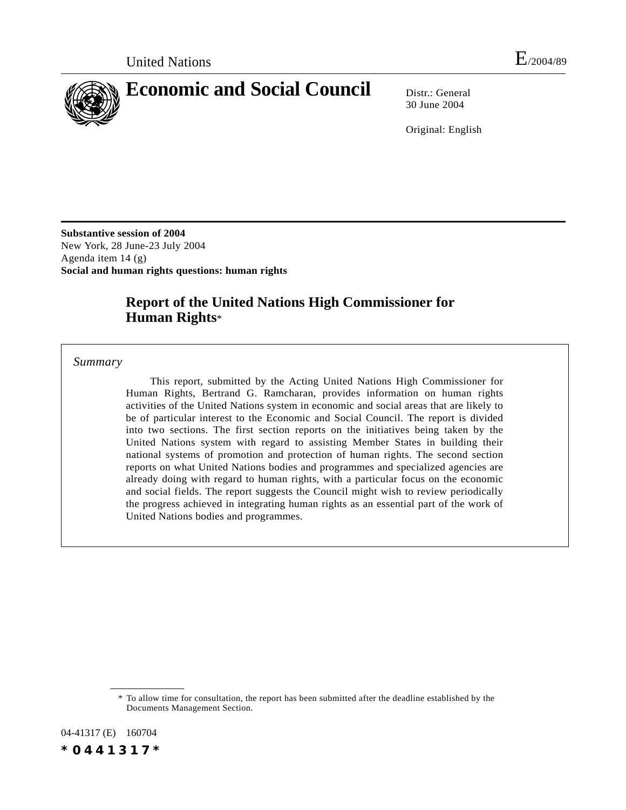

30 June 2004

Original: English

**Substantive session of 2004** New York, 28 June-23 July 2004 Agenda item 14 (g) **Social and human rights questions: human rights**

# **Report of the United Nations High Commissioner for Human Rights**\*

*Summary*

This report, submitted by the Acting United Nations High Commissioner for Human Rights, Bertrand G. Ramcharan, provides information on human rights activities of the United Nations system in economic and social areas that are likely to be of particular interest to the Economic and Social Council. The report is divided into two sections. The first section reports on the initiatives being taken by the United Nations system with regard to assisting Member States in building their national systems of promotion and protection of human rights. The second section reports on what United Nations bodies and programmes and specialized agencies are already doing with regard to human rights, with a particular focus on the economic and social fields. The report suggests the Council might wish to review periodically the progress achieved in integrating human rights as an essential part of the work of United Nations bodies and programmes.

04-41317 (E) 160704 *\*0441317\**

<sup>\*</sup> To allow time for consultation, the report has been submitted after the deadline established by the Documents Management Section.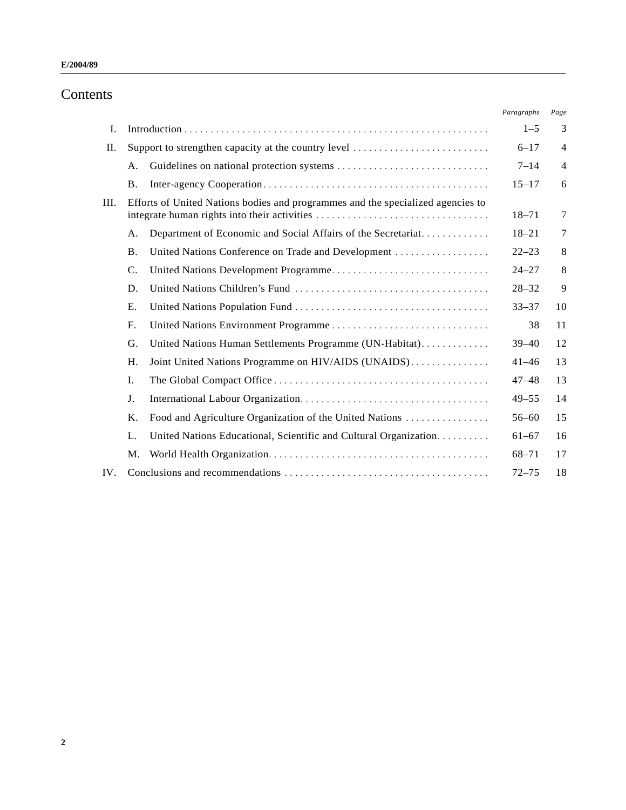#### **E/2004/89**

# Contents

|      |                                                     |                                                                                 | Paragraphs | Page           |
|------|-----------------------------------------------------|---------------------------------------------------------------------------------|------------|----------------|
| I.   |                                                     |                                                                                 |            | 3              |
| II.  | Support to strengthen capacity at the country level |                                                                                 | $6 - 17$   | $\overline{4}$ |
|      | A.                                                  |                                                                                 | $7 - 14$   | $\overline{4}$ |
|      | <b>B.</b>                                           |                                                                                 | $15 - 17$  | 6              |
| III. |                                                     | Efforts of United Nations bodies and programmes and the specialized agencies to | $18 - 71$  | 7              |
|      | А.                                                  | Department of Economic and Social Affairs of the Secretariat                    | $18 - 21$  | 7              |
|      | <b>B.</b>                                           | United Nations Conference on Trade and Development                              | $22 - 23$  | 8              |
|      | $\mathcal{C}$ .                                     |                                                                                 | $24 - 27$  | 8              |
|      | D.                                                  |                                                                                 | $28 - 32$  | 9              |
|      | E.                                                  |                                                                                 | $33 - 37$  | 10             |
|      | F.                                                  |                                                                                 | 38         | 11             |
|      | G.                                                  | United Nations Human Settlements Programme (UN-Habitat)                         | $39 - 40$  | 12             |
|      | $H_{\cdot}$                                         | Joint United Nations Programme on HIV/AIDS (UNAIDS)                             | $41 - 46$  | 13             |
|      | Ι.                                                  |                                                                                 | $47 - 48$  | 13             |
|      | J.                                                  |                                                                                 | $49 - 55$  | 14             |
|      | Κ.                                                  | Food and Agriculture Organization of the United Nations                         | $56 - 60$  | 15             |
|      | L.                                                  | United Nations Educational, Scientific and Cultural Organization                | $61 - 67$  | 16             |
|      | M.                                                  |                                                                                 | $68 - 71$  | 17             |
| IV.  |                                                     |                                                                                 | $72 - 75$  | 18             |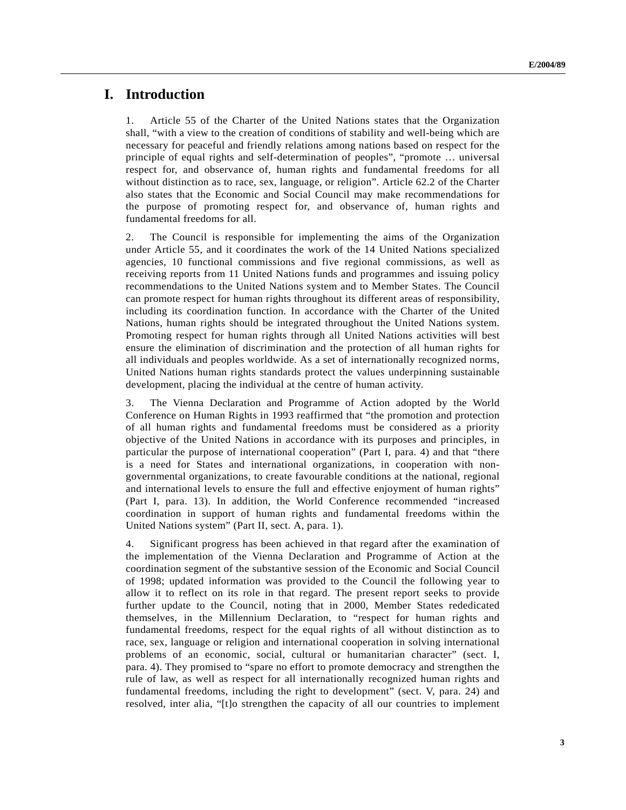# **I. Introduction**

1. Article 55 of the Charter of the United Nations states that the Organization shall, "with a view to the creation of conditions of stability and well-being which are necessary for peaceful and friendly relations among nations based on respect for the principle of equal rights and self-determination of peoples", "promote … universal respect for, and observance of, human rights and fundamental freedoms for all without distinction as to race, sex, language, or religion". Article 62.2 of the Charter also states that the Economic and Social Council may make recommendations for the purpose of promoting respect for, and observance of, human rights and fundamental freedoms for all.

2. The Council is responsible for implementing the aims of the Organization under Article 55, and it coordinates the work of the 14 United Nations specialized agencies, 10 functional commissions and five regional commissions, as well as receiving reports from 11 United Nations funds and programmes and issuing policy recommendations to the United Nations system and to Member States. The Council can promote respect for human rights throughout its different areas of responsibility, including its coordination function. In accordance with the Charter of the United Nations, human rights should be integrated throughout the United Nations system. Promoting respect for human rights through all United Nations activities will best ensure the elimination of discrimination and the protection of all human rights for all individuals and peoples worldwide. As a set of internationally recognized norms, United Nations human rights standards protect the values underpinning sustainable development, placing the individual at the centre of human activity.

3. The Vienna Declaration and Programme of Action adopted by the World Conference on Human Rights in 1993 reaffirmed that "the promotion and protection of all human rights and fundamental freedoms must be considered as a priority objective of the United Nations in accordance with its purposes and principles, in particular the purpose of international cooperation" (Part I, para. 4) and that "there is a need for States and international organizations, in cooperation with nongovernmental organizations, to create favourable conditions at the national, regional and international levels to ensure the full and effective enjoyment of human rights" (Part I, para. 13). In addition, the World Conference recommended "increased coordination in support of human rights and fundamental freedoms within the United Nations system" (Part II, sect. A, para. 1).

4. Significant progress has been achieved in that regard after the examination of the implementation of the Vienna Declaration and Programme of Action at the coordination segment of the substantive session of the Economic and Social Council of 1998; updated information was provided to the Council the following year to allow it to reflect on its role in that regard. The present report seeks to provide further update to the Council, noting that in 2000, Member States rededicated themselves, in the Millennium Declaration, to "respect for human rights and fundamental freedoms, respect for the equal rights of all without distinction as to race, sex, language or religion and international cooperation in solving international problems of an economic, social, cultural or humanitarian character" (sect. I, para. 4). They promised to "spare no effort to promote democracy and strengthen the rule of law, as well as respect for all internationally recognized human rights and fundamental freedoms, including the right to development" (sect. V, para. 24) and resolved, inter alia, "[t]o strengthen the capacity of all our countries to implement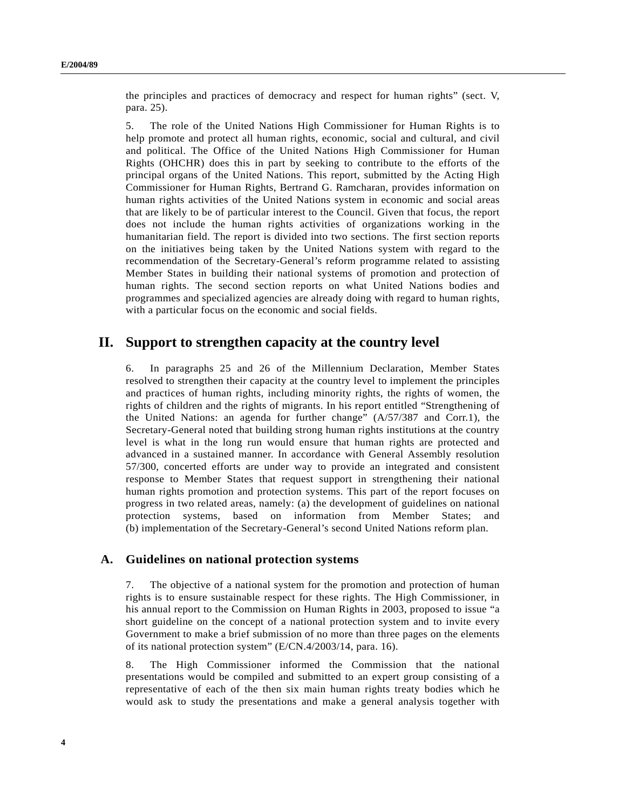the principles and practices of democracy and respect for human rights" (sect. V, para. 25).

5. The role of the United Nations High Commissioner for Human Rights is to help promote and protect all human rights, economic, social and cultural, and civil and political. The Office of the United Nations High Commissioner for Human Rights (OHCHR) does this in part by seeking to contribute to the efforts of the principal organs of the United Nations. This report, submitted by the Acting High Commissioner for Human Rights, Bertrand G. Ramcharan, provides information on human rights activities of the United Nations system in economic and social areas that are likely to be of particular interest to the Council. Given that focus, the report does not include the human rights activities of organizations working in the humanitarian field. The report is divided into two sections. The first section reports on the initiatives being taken by the United Nations system with regard to the recommendation of the Secretary-General's reform programme related to assisting Member States in building their national systems of promotion and protection of human rights. The second section reports on what United Nations bodies and programmes and specialized agencies are already doing with regard to human rights, with a particular focus on the economic and social fields.

# **II. Support to strengthen capacity at the country level**

6. In paragraphs 25 and 26 of the Millennium Declaration, Member States resolved to strengthen their capacity at the country level to implement the principles and practices of human rights, including minority rights, the rights of women, the rights of children and the rights of migrants. In his report entitled "Strengthening of the United Nations: an agenda for further change" (A/57/387 and Corr.1), the Secretary-General noted that building strong human rights institutions at the country level is what in the long run would ensure that human rights are protected and advanced in a sustained manner. In accordance with General Assembly resolution 57/300, concerted efforts are under way to provide an integrated and consistent response to Member States that request support in strengthening their national human rights promotion and protection systems. This part of the report focuses on progress in two related areas, namely: (a) the development of guidelines on national protection systems, based on information from Member States; and (b) implementation of the Secretary-General's second United Nations reform plan.

#### **A. Guidelines on national protection systems**

7. The objective of a national system for the promotion and protection of human rights is to ensure sustainable respect for these rights. The High Commissioner, in his annual report to the Commission on Human Rights in 2003, proposed to issue "a short guideline on the concept of a national protection system and to invite every Government to make a brief submission of no more than three pages on the elements of its national protection system" (E/CN.4/2003/14, para. 16).

8. The High Commissioner informed the Commission that the national presentations would be compiled and submitted to an expert group consisting of a representative of each of the then six main human rights treaty bodies which he would ask to study the presentations and make a general analysis together with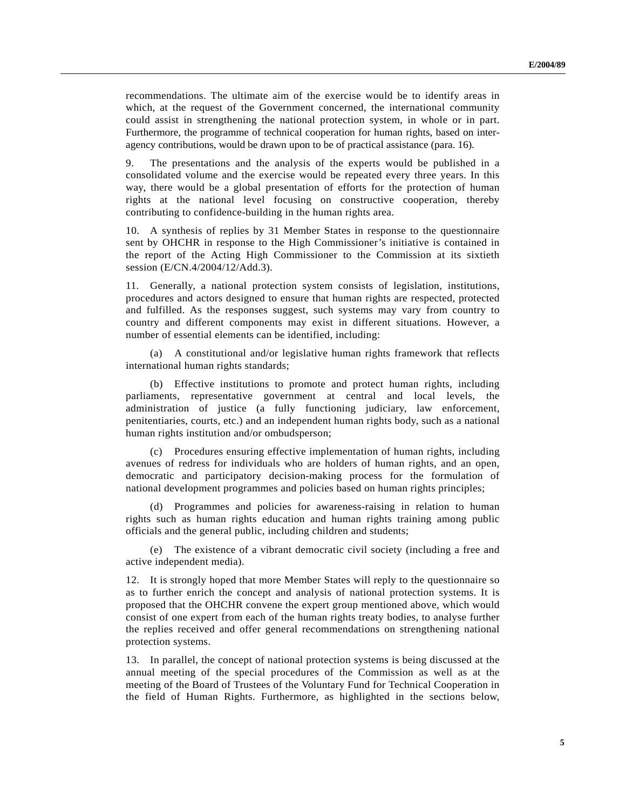recommendations. The ultimate aim of the exercise would be to identify areas in which, at the request of the Government concerned, the international community could assist in strengthening the national protection system, in whole or in part. Furthermore, the programme of technical cooperation for human rights, based on interagency contributions, would be drawn upon to be of practical assistance (para. 16).

9. The presentations and the analysis of the experts would be published in a consolidated volume and the exercise would be repeated every three years. In this way, there would be a global presentation of efforts for the protection of human rights at the national level focusing on constructive cooperation, thereby contributing to confidence-building in the human rights area.

10. A synthesis of replies by 31 Member States in response to the questionnaire sent by OHCHR in response to the High Commissioner's initiative is contained in the report of the Acting High Commissioner to the Commission at its sixtieth session (E/CN.4/2004/12/Add.3).

11. Generally, a national protection system consists of legislation, institutions, procedures and actors designed to ensure that human rights are respected, protected and fulfilled. As the responses suggest, such systems may vary from country to country and different components may exist in different situations. However, a number of essential elements can be identified, including:

(a) A constitutional and/or legislative human rights framework that reflects international human rights standards;

(b) Effective institutions to promote and protect human rights, including parliaments, representative government at central and local levels, the administration of justice (a fully functioning judiciary, law enforcement, penitentiaries, courts, etc.) and an independent human rights body, such as a national human rights institution and/or ombudsperson;

(c) Procedures ensuring effective implementation of human rights, including avenues of redress for individuals who are holders of human rights, and an open, democratic and participatory decision-making process for the formulation of national development programmes and policies based on human rights principles;

(d) Programmes and policies for awareness-raising in relation to human rights such as human rights education and human rights training among public officials and the general public, including children and students;

(e) The existence of a vibrant democratic civil society (including a free and active independent media).

12. It is strongly hoped that more Member States will reply to the questionnaire so as to further enrich the concept and analysis of national protection systems. It is proposed that the OHCHR convene the expert group mentioned above, which would consist of one expert from each of the human rights treaty bodies, to analyse further the replies received and offer general recommendations on strengthening national protection systems.

13. In parallel, the concept of national protection systems is being discussed at the annual meeting of the special procedures of the Commission as well as at the meeting of the Board of Trustees of the Voluntary Fund for Technical Cooperation in the field of Human Rights. Furthermore, as highlighted in the sections below,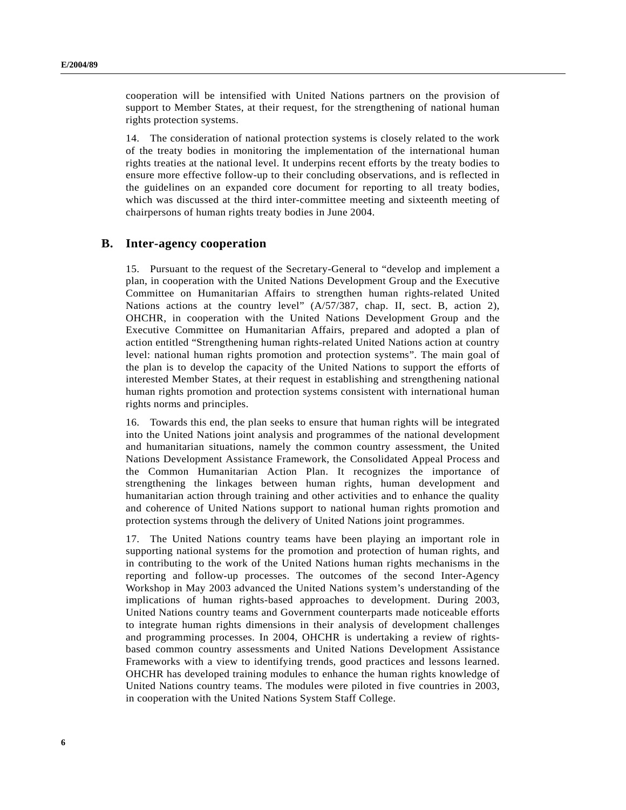cooperation will be intensified with United Nations partners on the provision of support to Member States, at their request, for the strengthening of national human rights protection systems.

14. The consideration of national protection systems is closely related to the work of the treaty bodies in monitoring the implementation of the international human rights treaties at the national level. It underpins recent efforts by the treaty bodies to ensure more effective follow-up to their concluding observations, and is reflected in the guidelines on an expanded core document for reporting to all treaty bodies, which was discussed at the third inter-committee meeting and sixteenth meeting of chairpersons of human rights treaty bodies in June 2004.

#### **B. Inter-agency cooperation**

15. Pursuant to the request of the Secretary-General to "develop and implement a plan, in cooperation with the United Nations Development Group and the Executive Committee on Humanitarian Affairs to strengthen human rights-related United Nations actions at the country level" (A/57/387, chap. II, sect. B, action 2), OHCHR, in cooperation with the United Nations Development Group and the Executive Committee on Humanitarian Affairs, prepared and adopted a plan of action entitled "Strengthening human rights-related United Nations action at country level: national human rights promotion and protection systems". The main goal of the plan is to develop the capacity of the United Nations to support the efforts of interested Member States, at their request in establishing and strengthening national human rights promotion and protection systems consistent with international human rights norms and principles.

16. Towards this end, the plan seeks to ensure that human rights will be integrated into the United Nations joint analysis and programmes of the national development and humanitarian situations, namely the common country assessment, the United Nations Development Assistance Framework, the Consolidated Appeal Process and the Common Humanitarian Action Plan. It recognizes the importance of strengthening the linkages between human rights, human development and humanitarian action through training and other activities and to enhance the quality and coherence of United Nations support to national human rights promotion and protection systems through the delivery of United Nations joint programmes.

17. The United Nations country teams have been playing an important role in supporting national systems for the promotion and protection of human rights, and in contributing to the work of the United Nations human rights mechanisms in the reporting and follow-up processes. The outcomes of the second Inter-Agency Workshop in May 2003 advanced the United Nations system's understanding of the implications of human rights-based approaches to development. During 2003, United Nations country teams and Government counterparts made noticeable efforts to integrate human rights dimensions in their analysis of development challenges and programming processes. In 2004, OHCHR is undertaking a review of rightsbased common country assessments and United Nations Development Assistance Frameworks with a view to identifying trends, good practices and lessons learned. OHCHR has developed training modules to enhance the human rights knowledge of United Nations country teams. The modules were piloted in five countries in 2003, in cooperation with the United Nations System Staff College.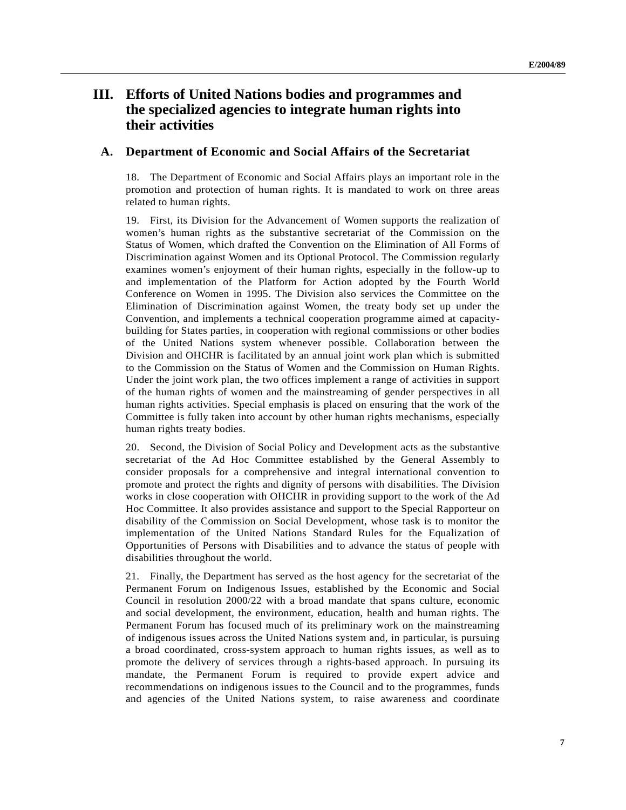# **III. Efforts of United Nations bodies and programmes and the specialized agencies to integrate human rights into their activities**

#### **A. Department of Economic and Social Affairs of the Secretariat**

18. The Department of Economic and Social Affairs plays an important role in the promotion and protection of human rights. It is mandated to work on three areas related to human rights.

19. First, its Division for the Advancement of Women supports the realization of women's human rights as the substantive secretariat of the Commission on the Status of Women, which drafted the Convention on the Elimination of All Forms of Discrimination against Women and its Optional Protocol. The Commission regularly examines women's enjoyment of their human rights, especially in the follow-up to and implementation of the Platform for Action adopted by the Fourth World Conference on Women in 1995. The Division also services the Committee on the Elimination of Discrimination against Women, the treaty body set up under the Convention, and implements a technical cooperation programme aimed at capacitybuilding for States parties, in cooperation with regional commissions or other bodies of the United Nations system whenever possible. Collaboration between the Division and OHCHR is facilitated by an annual joint work plan which is submitted to the Commission on the Status of Women and the Commission on Human Rights. Under the joint work plan, the two offices implement a range of activities in support of the human rights of women and the mainstreaming of gender perspectives in all human rights activities. Special emphasis is placed on ensuring that the work of the Committee is fully taken into account by other human rights mechanisms, especially human rights treaty bodies.

20. Second, the Division of Social Policy and Development acts as the substantive secretariat of the Ad Hoc Committee established by the General Assembly to consider proposals for a comprehensive and integral international convention to promote and protect the rights and dignity of persons with disabilities. The Division works in close cooperation with OHCHR in providing support to the work of the Ad Hoc Committee. It also provides assistance and support to the Special Rapporteur on disability of the Commission on Social Development, whose task is to monitor the implementation of the United Nations Standard Rules for the Equalization of Opportunities of Persons with Disabilities and to advance the status of people with disabilities throughout the world.

21. Finally, the Department has served as the host agency for the secretariat of the Permanent Forum on Indigenous Issues, established by the Economic and Social Council in resolution 2000/22 with a broad mandate that spans culture, economic and social development, the environment, education, health and human rights. The Permanent Forum has focused much of its preliminary work on the mainstreaming of indigenous issues across the United Nations system and, in particular, is pursuing a broad coordinated, cross-system approach to human rights issues, as well as to promote the delivery of services through a rights-based approach. In pursuing its mandate, the Permanent Forum is required to provide expert advice and recommendations on indigenous issues to the Council and to the programmes, funds and agencies of the United Nations system, to raise awareness and coordinate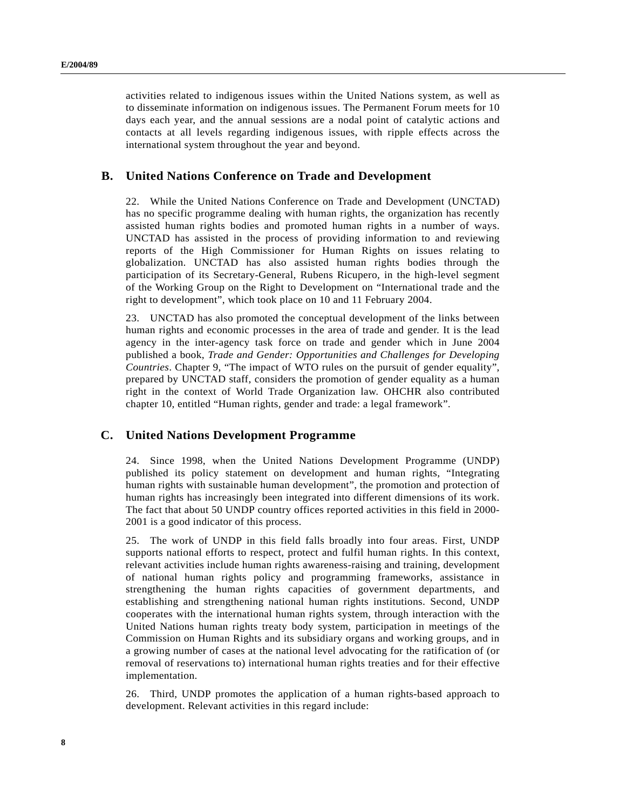activities related to indigenous issues within the United Nations system, as well as to disseminate information on indigenous issues. The Permanent Forum meets for 10 days each year, and the annual sessions are a nodal point of catalytic actions and contacts at all levels regarding indigenous issues, with ripple effects across the international system throughout the year and beyond.

#### **B. United Nations Conference on Trade and Development**

22. While the United Nations Conference on Trade and Development (UNCTAD) has no specific programme dealing with human rights, the organization has recently assisted human rights bodies and promoted human rights in a number of ways. UNCTAD has assisted in the process of providing information to and reviewing reports of the High Commissioner for Human Rights on issues relating to globalization. UNCTAD has also assisted human rights bodies through the participation of its Secretary-General, Rubens Ricupero, in the high-level segment of the Working Group on the Right to Development on "International trade and the right to development", which took place on 10 and 11 February 2004.

23. UNCTAD has also promoted the conceptual development of the links between human rights and economic processes in the area of trade and gender. It is the lead agency in the inter-agency task force on trade and gender which in June 2004 published a book, *Trade and Gender: Opportunities and Challenges for Developing Countries*. Chapter 9, "The impact of WTO rules on the pursuit of gender equality", prepared by UNCTAD staff, considers the promotion of gender equality as a human right in the context of World Trade Organization law. OHCHR also contributed chapter 10, entitled "Human rights, gender and trade: a legal framework".

#### **C. United Nations Development Programme**

24. Since 1998, when the United Nations Development Programme (UNDP) published its policy statement on development and human rights, "Integrating human rights with sustainable human development", the promotion and protection of human rights has increasingly been integrated into different dimensions of its work. The fact that about 50 UNDP country offices reported activities in this field in 2000- 2001 is a good indicator of this process.

25. The work of UNDP in this field falls broadly into four areas. First, UNDP supports national efforts to respect, protect and fulfil human rights. In this context, relevant activities include human rights awareness-raising and training, development of national human rights policy and programming frameworks, assistance in strengthening the human rights capacities of government departments, and establishing and strengthening national human rights institutions. Second, UNDP cooperates with the international human rights system, through interaction with the United Nations human rights treaty body system, participation in meetings of the Commission on Human Rights and its subsidiary organs and working groups, and in a growing number of cases at the national level advocating for the ratification of (or removal of reservations to) international human rights treaties and for their effective implementation.

26. Third, UNDP promotes the application of a human rights-based approach to development. Relevant activities in this regard include: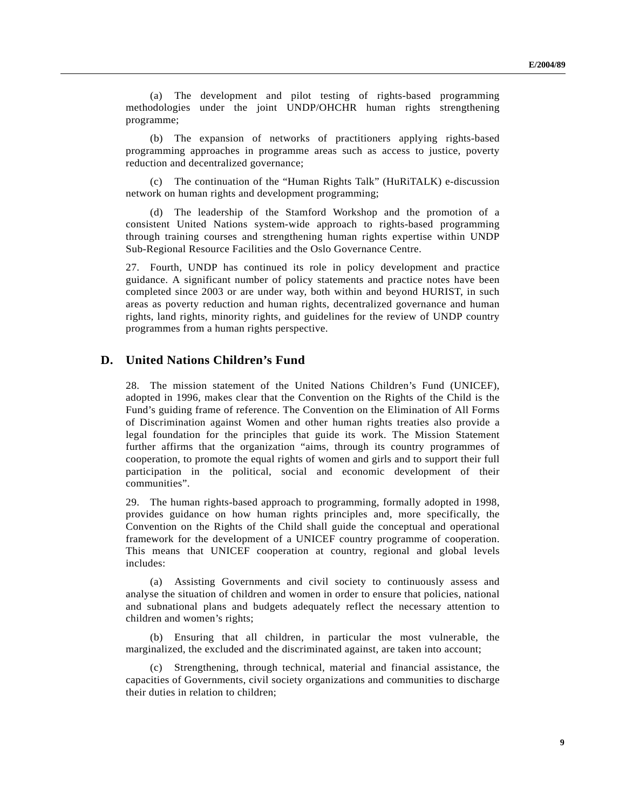(a) The development and pilot testing of rights-based programming methodologies under the joint UNDP/OHCHR human rights strengthening programme;

(b) The expansion of networks of practitioners applying rights-based programming approaches in programme areas such as access to justice, poverty reduction and decentralized governance;

(c) The continuation of the "Human Rights Talk" (HuRiTALK) e-discussion network on human rights and development programming;

(d) The leadership of the Stamford Workshop and the promotion of a consistent United Nations system-wide approach to rights-based programming through training courses and strengthening human rights expertise within UNDP Sub-Regional Resource Facilities and the Oslo Governance Centre.

27. Fourth, UNDP has continued its role in policy development and practice guidance. A significant number of policy statements and practice notes have been completed since 2003 or are under way, both within and beyond HURIST, in such areas as poverty reduction and human rights, decentralized governance and human rights, land rights, minority rights, and guidelines for the review of UNDP country programmes from a human rights perspective.

#### **D. United Nations Children's Fund**

28. The mission statement of the United Nations Children's Fund (UNICEF), adopted in 1996, makes clear that the Convention on the Rights of the Child is the Fund's guiding frame of reference. The Convention on the Elimination of All Forms of Discrimination against Women and other human rights treaties also provide a legal foundation for the principles that guide its work. The Mission Statement further affirms that the organization "aims, through its country programmes of cooperation, to promote the equal rights of women and girls and to support their full participation in the political, social and economic development of their communities".

29. The human rights-based approach to programming, formally adopted in 1998, provides guidance on how human rights principles and, more specifically, the Convention on the Rights of the Child shall guide the conceptual and operational framework for the development of a UNICEF country programme of cooperation. This means that UNICEF cooperation at country, regional and global levels includes:

(a) Assisting Governments and civil society to continuously assess and analyse the situation of children and women in order to ensure that policies, national and subnational plans and budgets adequately reflect the necessary attention to children and women's rights;

(b) Ensuring that all children, in particular the most vulnerable, the marginalized, the excluded and the discriminated against, are taken into account;

(c) Strengthening, through technical, material and financial assistance, the capacities of Governments, civil society organizations and communities to discharge their duties in relation to children;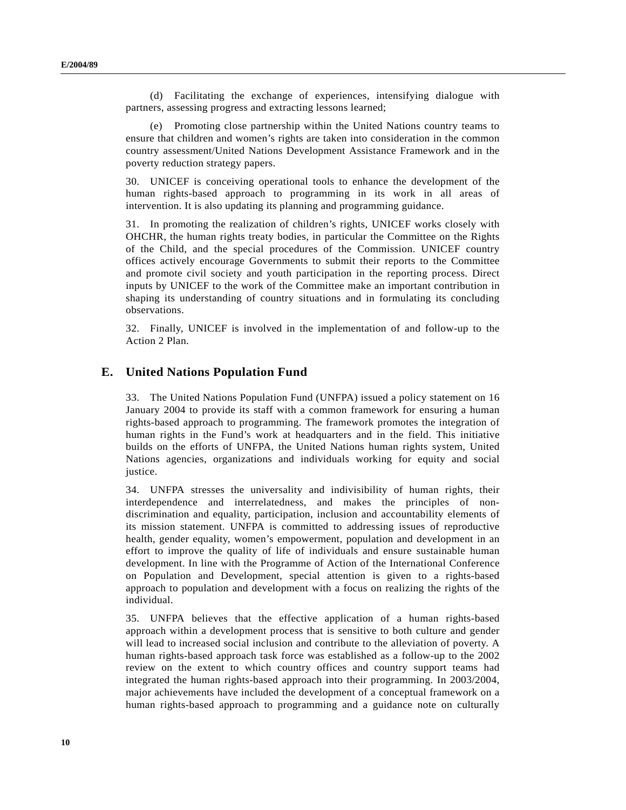(d) Facilitating the exchange of experiences, intensifying dialogue with partners, assessing progress and extracting lessons learned;

(e) Promoting close partnership within the United Nations country teams to ensure that children and women's rights are taken into consideration in the common country assessment/United Nations Development Assistance Framework and in the poverty reduction strategy papers.

30. UNICEF is conceiving operational tools to enhance the development of the human rights-based approach to programming in its work in all areas of intervention. It is also updating its planning and programming guidance.

31. In promoting the realization of children's rights, UNICEF works closely with OHCHR, the human rights treaty bodies, in particular the Committee on the Rights of the Child, and the special procedures of the Commission. UNICEF country offices actively encourage Governments to submit their reports to the Committee and promote civil society and youth participation in the reporting process. Direct inputs by UNICEF to the work of the Committee make an important contribution in shaping its understanding of country situations and in formulating its concluding observations.

32. Finally, UNICEF is involved in the implementation of and follow-up to the Action 2 Plan.

### **E. United Nations Population Fund**

33. The United Nations Population Fund (UNFPA) issued a policy statement on 16 January 2004 to provide its staff with a common framework for ensuring a human rights-based approach to programming. The framework promotes the integration of human rights in the Fund's work at headquarters and in the field. This initiative builds on the efforts of UNFPA, the United Nations human rights system, United Nations agencies, organizations and individuals working for equity and social justice.

34. UNFPA stresses the universality and indivisibility of human rights, their interdependence and interrelatedness, and makes the principles of nondiscrimination and equality, participation, inclusion and accountability elements of its mission statement. UNFPA is committed to addressing issues of reproductive health, gender equality, women's empowerment, population and development in an effort to improve the quality of life of individuals and ensure sustainable human development. In line with the Programme of Action of the International Conference on Population and Development, special attention is given to a rights-based approach to population and development with a focus on realizing the rights of the individual.

35. UNFPA believes that the effective application of a human rights-based approach within a development process that is sensitive to both culture and gender will lead to increased social inclusion and contribute to the alleviation of poverty. A human rights-based approach task force was established as a follow-up to the 2002 review on the extent to which country offices and country support teams had integrated the human rights-based approach into their programming. In 2003/2004, major achievements have included the development of a conceptual framework on a human rights-based approach to programming and a guidance note on culturally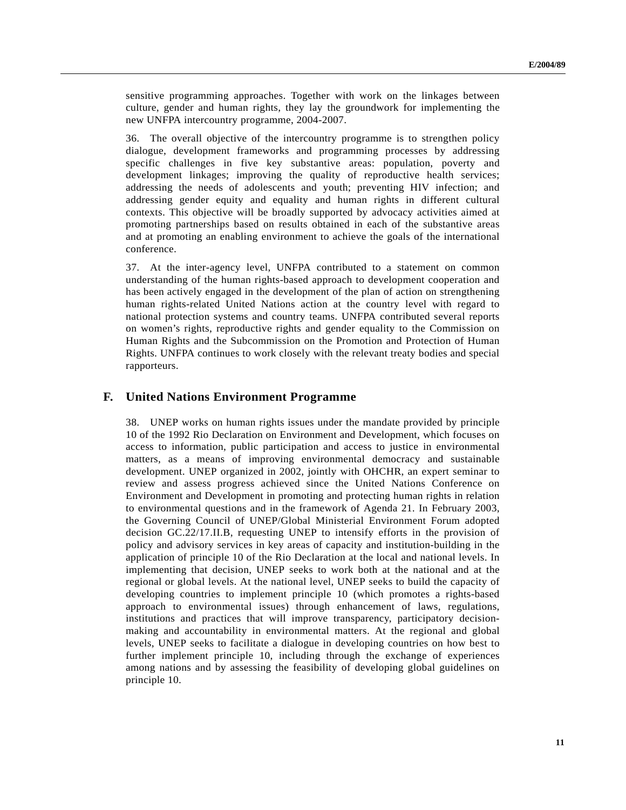sensitive programming approaches. Together with work on the linkages between culture, gender and human rights, they lay the groundwork for implementing the new UNFPA intercountry programme, 2004-2007.

36. The overall objective of the intercountry programme is to strengthen policy dialogue, development frameworks and programming processes by addressing specific challenges in five key substantive areas: population, poverty and development linkages; improving the quality of reproductive health services; addressing the needs of adolescents and youth; preventing HIV infection; and addressing gender equity and equality and human rights in different cultural contexts. This objective will be broadly supported by advocacy activities aimed at promoting partnerships based on results obtained in each of the substantive areas and at promoting an enabling environment to achieve the goals of the international conference.

37. At the inter-agency level, UNFPA contributed to a statement on common understanding of the human rights-based approach to development cooperation and has been actively engaged in the development of the plan of action on strengthening human rights-related United Nations action at the country level with regard to national protection systems and country teams. UNFPA contributed several reports on women's rights, reproductive rights and gender equality to the Commission on Human Rights and the Subcommission on the Promotion and Protection of Human Rights. UNFPA continues to work closely with the relevant treaty bodies and special rapporteurs.

#### **F. United Nations Environment Programme**

38. UNEP works on human rights issues under the mandate provided by principle 10 of the 1992 Rio Declaration on Environment and Development, which focuses on access to information, public participation and access to justice in environmental matters, as a means of improving environmental democracy and sustainable development. UNEP organized in 2002, jointly with OHCHR, an expert seminar to review and assess progress achieved since the United Nations Conference on Environment and Development in promoting and protecting human rights in relation to environmental questions and in the framework of Agenda 21. In February 2003, the Governing Council of UNEP/Global Ministerial Environment Forum adopted decision GC.22/17.II.B, requesting UNEP to intensify efforts in the provision of policy and advisory services in key areas of capacity and institution-building in the application of principle 10 of the Rio Declaration at the local and national levels. In implementing that decision, UNEP seeks to work both at the national and at the regional or global levels. At the national level, UNEP seeks to build the capacity of developing countries to implement principle 10 (which promotes a rights-based approach to environmental issues) through enhancement of laws, regulations, institutions and practices that will improve transparency, participatory decisionmaking and accountability in environmental matters. At the regional and global levels, UNEP seeks to facilitate a dialogue in developing countries on how best to further implement principle 10, including through the exchange of experiences among nations and by assessing the feasibility of developing global guidelines on principle 10.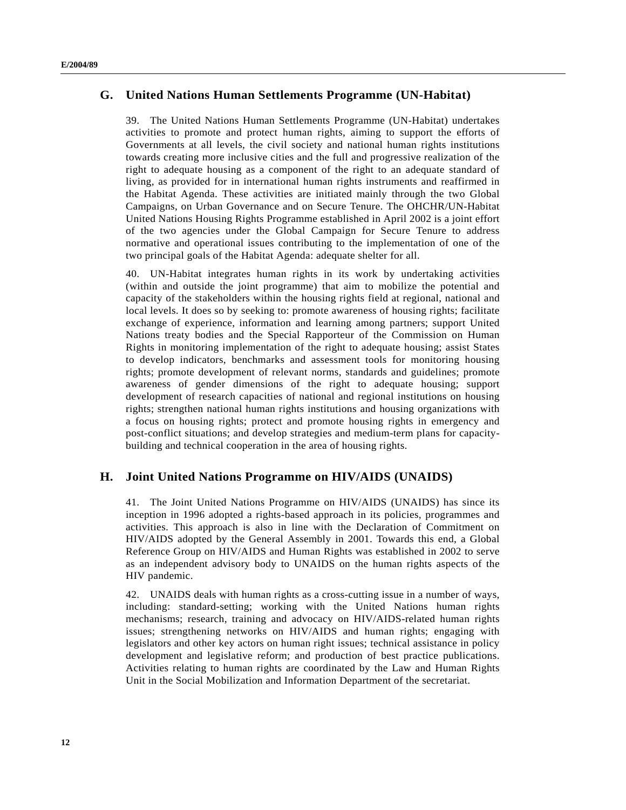### **G. United Nations Human Settlements Programme (UN-Habitat)**

39. The United Nations Human Settlements Programme (UN-Habitat) undertakes activities to promote and protect human rights, aiming to support the efforts of Governments at all levels, the civil society and national human rights institutions towards creating more inclusive cities and the full and progressive realization of the right to adequate housing as a component of the right to an adequate standard of living, as provided for in international human rights instruments and reaffirmed in the Habitat Agenda. These activities are initiated mainly through the two Global Campaigns, on Urban Governance and on Secure Tenure. The OHCHR/UN-Habitat United Nations Housing Rights Programme established in April 2002 is a joint effort of the two agencies under the Global Campaign for Secure Tenure to address normative and operational issues contributing to the implementation of one of the two principal goals of the Habitat Agenda: adequate shelter for all.

40. UN-Habitat integrates human rights in its work by undertaking activities (within and outside the joint programme) that aim to mobilize the potential and capacity of the stakeholders within the housing rights field at regional, national and local levels. It does so by seeking to: promote awareness of housing rights; facilitate exchange of experience, information and learning among partners; support United Nations treaty bodies and the Special Rapporteur of the Commission on Human Rights in monitoring implementation of the right to adequate housing; assist States to develop indicators, benchmarks and assessment tools for monitoring housing rights; promote development of relevant norms, standards and guidelines; promote awareness of gender dimensions of the right to adequate housing; support development of research capacities of national and regional institutions on housing rights; strengthen national human rights institutions and housing organizations with a focus on housing rights; protect and promote housing rights in emergency and post-conflict situations; and develop strategies and medium-term plans for capacitybuilding and technical cooperation in the area of housing rights.

### **H. Joint United Nations Programme on HIV/AIDS (UNAIDS)**

41. The Joint United Nations Programme on HIV/AIDS (UNAIDS) has since its inception in 1996 adopted a rights-based approach in its policies, programmes and activities. This approach is also in line with the Declaration of Commitment on HIV/AIDS adopted by the General Assembly in 2001. Towards this end, a Global Reference Group on HIV/AIDS and Human Rights was established in 2002 to serve as an independent advisory body to UNAIDS on the human rights aspects of the HIV pandemic.

42. UNAIDS deals with human rights as a cross-cutting issue in a number of ways, including: standard-setting; working with the United Nations human rights mechanisms; research, training and advocacy on HIV/AIDS-related human rights issues; strengthening networks on HIV/AIDS and human rights; engaging with legislators and other key actors on human right issues; technical assistance in policy development and legislative reform; and production of best practice publications. Activities relating to human rights are coordinated by the Law and Human Rights Unit in the Social Mobilization and Information Department of the secretariat.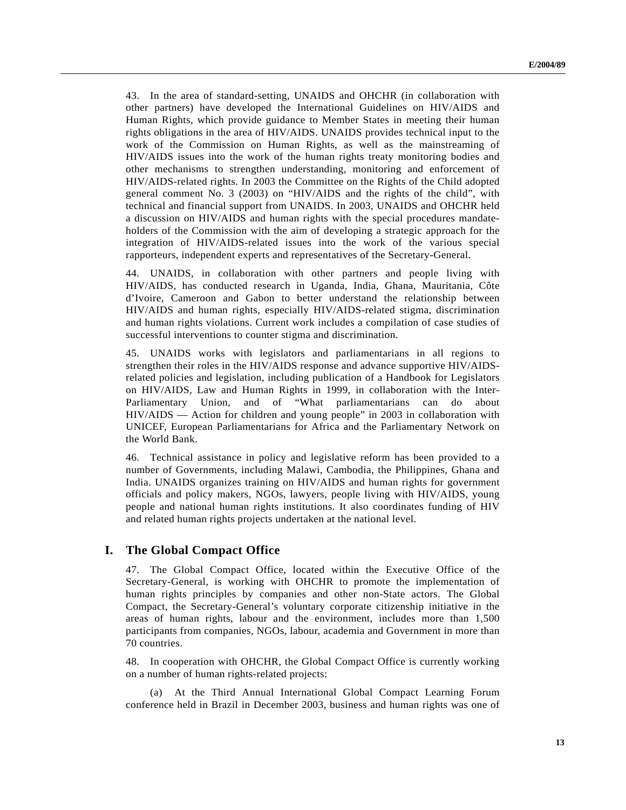43. In the area of standard-setting, UNAIDS and OHCHR (in collaboration with other partners) have developed the International Guidelines on HIV/AIDS and Human Rights, which provide guidance to Member States in meeting their human rights obligations in the area of HIV/AIDS. UNAIDS provides technical input to the work of the Commission on Human Rights, as well as the mainstreaming of HIV/AIDS issues into the work of the human rights treaty monitoring bodies and other mechanisms to strengthen understanding, monitoring and enforcement of HIV/AIDS-related rights. In 2003 the Committee on the Rights of the Child adopted general comment No. 3 (2003) on "HIV/AIDS and the rights of the child", with technical and financial support from UNAIDS. In 2003, UNAIDS and OHCHR held a discussion on HIV/AIDS and human rights with the special procedures mandateholders of the Commission with the aim of developing a strategic approach for the integration of HIV/AIDS-related issues into the work of the various special rapporteurs, independent experts and representatives of the Secretary-General.

44. UNAIDS, in collaboration with other partners and people living with HIV/AIDS, has conducted research in Uganda, India, Ghana, Mauritania, Côte d'Ivoire, Cameroon and Gabon to better understand the relationship between HIV/AIDS and human rights, especially HIV/AIDS-related stigma, discrimination and human rights violations. Current work includes a compilation of case studies of successful interventions to counter stigma and discrimination.

45. UNAIDS works with legislators and parliamentarians in all regions to strengthen their roles in the HIV/AIDS response and advance supportive HIV/AIDSrelated policies and legislation, including publication of a Handbook for Legislators on HIV/AIDS, Law and Human Rights in 1999, in collaboration with the Inter-Parliamentary Union, and of "What parliamentarians can do about HIV/AIDS — Action for children and young people" in 2003 in collaboration with UNICEF, European Parliamentarians for Africa and the Parliamentary Network on the World Bank.

46. Technical assistance in policy and legislative reform has been provided to a number of Governments, including Malawi, Cambodia, the Philippines, Ghana and India. UNAIDS organizes training on HIV/AIDS and human rights for government officials and policy makers, NGOs, lawyers, people living with HIV/AIDS, young people and national human rights institutions. It also coordinates funding of HIV and related human rights projects undertaken at the national level.

### **I. The Global Compact Office**

47. The Global Compact Office, located within the Executive Office of the Secretary-General, is working with OHCHR to promote the implementation of human rights principles by companies and other non-State actors. The Global Compact, the Secretary-General's voluntary corporate citizenship initiative in the areas of human rights, labour and the environment, includes more than 1,500 participants from companies, NGOs, labour, academia and Government in more than 70 countries.

48. In cooperation with OHCHR, the Global Compact Office is currently working on a number of human rights-related projects:

(a) At the Third Annual International Global Compact Learning Forum conference held in Brazil in December 2003, business and human rights was one of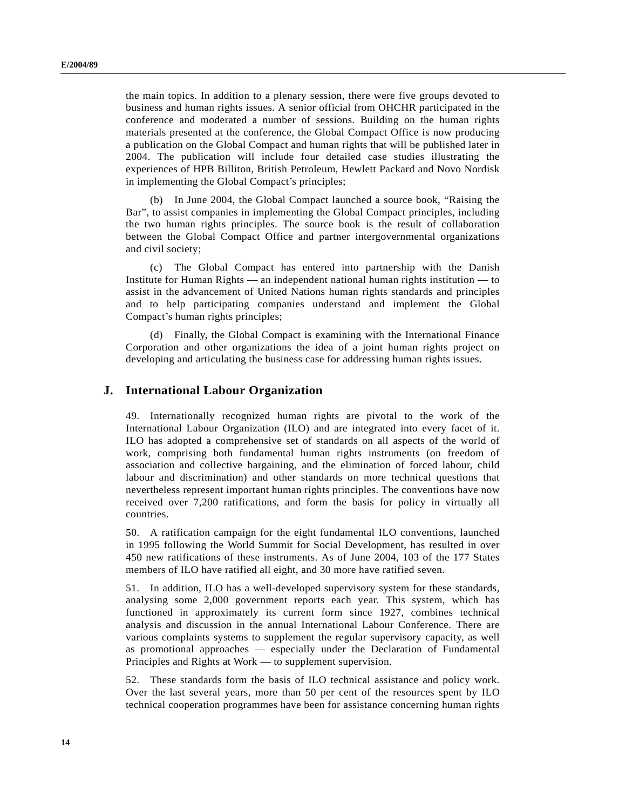the main topics. In addition to a plenary session, there were five groups devoted to business and human rights issues. A senior official from OHCHR participated in the conference and moderated a number of sessions. Building on the human rights materials presented at the conference, the Global Compact Office is now producing a publication on the Global Compact and human rights that will be published later in 2004. The publication will include four detailed case studies illustrating the experiences of HPB Billiton, British Petroleum, Hewlett Packard and Novo Nordisk in implementing the Global Compact's principles;

(b) In June 2004, the Global Compact launched a source book, "Raising the Bar", to assist companies in implementing the Global Compact principles, including the two human rights principles. The source book is the result of collaboration between the Global Compact Office and partner intergovernmental organizations and civil society;

(c) The Global Compact has entered into partnership with the Danish Institute for Human Rights — an independent national human rights institution — to assist in the advancement of United Nations human rights standards and principles and to help participating companies understand and implement the Global Compact's human rights principles;

(d) Finally, the Global Compact is examining with the International Finance Corporation and other organizations the idea of a joint human rights project on developing and articulating the business case for addressing human rights issues.

### **J. International Labour Organization**

49. Internationally recognized human rights are pivotal to the work of the International Labour Organization (ILO) and are integrated into every facet of it. ILO has adopted a comprehensive set of standards on all aspects of the world of work, comprising both fundamental human rights instruments (on freedom of association and collective bargaining, and the elimination of forced labour, child labour and discrimination) and other standards on more technical questions that nevertheless represent important human rights principles. The conventions have now received over 7,200 ratifications, and form the basis for policy in virtually all countries.

50. A ratification campaign for the eight fundamental ILO conventions, launched in 1995 following the World Summit for Social Development, has resulted in over 450 new ratifications of these instruments. As of June 2004, 103 of the 177 States members of ILO have ratified all eight, and 30 more have ratified seven.

51. In addition, ILO has a well-developed supervisory system for these standards, analysing some 2,000 government reports each year. This system, which has functioned in approximately its current form since 1927, combines technical analysis and discussion in the annual International Labour Conference. There are various complaints systems to supplement the regular supervisory capacity, as well as promotional approaches — especially under the Declaration of Fundamental Principles and Rights at Work — to supplement supervision.

52. These standards form the basis of ILO technical assistance and policy work. Over the last several years, more than 50 per cent of the resources spent by ILO technical cooperation programmes have been for assistance concerning human rights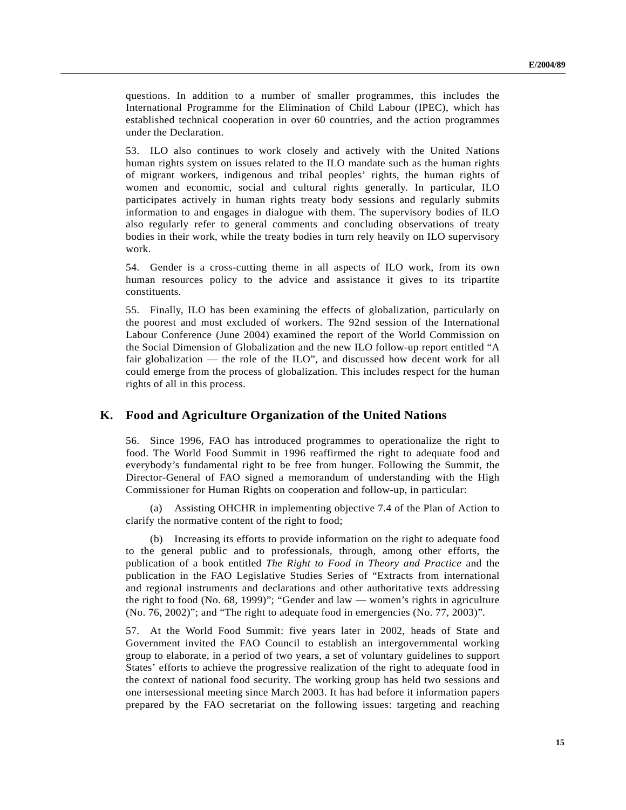questions. In addition to a number of smaller programmes, this includes the International Programme for the Elimination of Child Labour (IPEC), which has established technical cooperation in over 60 countries, and the action programmes under the Declaration.

53. ILO also continues to work closely and actively with the United Nations human rights system on issues related to the ILO mandate such as the human rights of migrant workers, indigenous and tribal peoples' rights, the human rights of women and economic, social and cultural rights generally. In particular, ILO participates actively in human rights treaty body sessions and regularly submits information to and engages in dialogue with them. The supervisory bodies of ILO also regularly refer to general comments and concluding observations of treaty bodies in their work, while the treaty bodies in turn rely heavily on ILO supervisory work.

54. Gender is a cross-cutting theme in all aspects of ILO work, from its own human resources policy to the advice and assistance it gives to its tripartite constituents.

55. Finally, ILO has been examining the effects of globalization, particularly on the poorest and most excluded of workers. The 92nd session of the International Labour Conference (June 2004) examined the report of the World Commission on the Social Dimension of Globalization and the new ILO follow-up report entitled "A fair globalization — the role of the ILO", and discussed how decent work for all could emerge from the process of globalization. This includes respect for the human rights of all in this process.

### **K. Food and Agriculture Organization of the United Nations**

56. Since 1996, FAO has introduced programmes to operationalize the right to food. The World Food Summit in 1996 reaffirmed the right to adequate food and everybody's fundamental right to be free from hunger. Following the Summit, the Director-General of FAO signed a memorandum of understanding with the High Commissioner for Human Rights on cooperation and follow-up, in particular:

(a) Assisting OHCHR in implementing objective 7.4 of the Plan of Action to clarify the normative content of the right to food;

(b) Increasing its efforts to provide information on the right to adequate food to the general public and to professionals, through, among other efforts, the publication of a book entitled *The Right to Food in Theory and Practice* and the publication in the FAO Legislative Studies Series of "Extracts from international and regional instruments and declarations and other authoritative texts addressing the right to food (No. 68, 1999)"; "Gender and law — women's rights in agriculture (No. 76, 2002)"; and "The right to adequate food in emergencies (No. 77, 2003)".

57. At the World Food Summit: five years later in 2002, heads of State and Government invited the FAO Council to establish an intergovernmental working group to elaborate, in a period of two years, a set of voluntary guidelines to support States' efforts to achieve the progressive realization of the right to adequate food in the context of national food security. The working group has held two sessions and one intersessional meeting since March 2003. It has had before it information papers prepared by the FAO secretariat on the following issues: targeting and reaching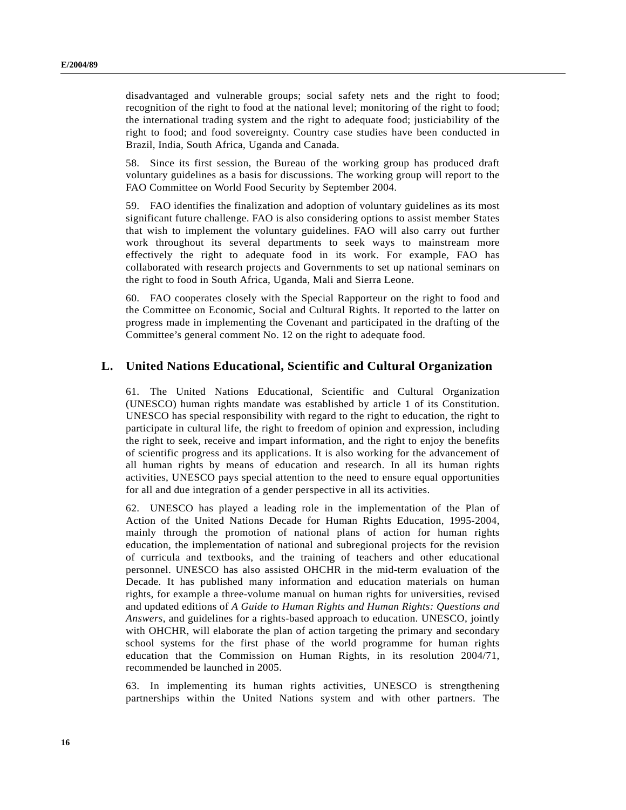disadvantaged and vulnerable groups; social safety nets and the right to food; recognition of the right to food at the national level; monitoring of the right to food; the international trading system and the right to adequate food; justiciability of the right to food; and food sovereignty. Country case studies have been conducted in Brazil, India, South Africa, Uganda and Canada.

58. Since its first session, the Bureau of the working group has produced draft voluntary guidelines as a basis for discussions. The working group will report to the FAO Committee on World Food Security by September 2004.

59. FAO identifies the finalization and adoption of voluntary guidelines as its most significant future challenge. FAO is also considering options to assist member States that wish to implement the voluntary guidelines. FAO will also carry out further work throughout its several departments to seek ways to mainstream more effectively the right to adequate food in its work. For example, FAO has collaborated with research projects and Governments to set up national seminars on the right to food in South Africa, Uganda, Mali and Sierra Leone.

60. FAO cooperates closely with the Special Rapporteur on the right to food and the Committee on Economic, Social and Cultural Rights. It reported to the latter on progress made in implementing the Covenant and participated in the drafting of the Committee's general comment No. 12 on the right to adequate food.

### **L. United Nations Educational, Scientific and Cultural Organization**

61. The United Nations Educational, Scientific and Cultural Organization (UNESCO) human rights mandate was established by article 1 of its Constitution. UNESCO has special responsibility with regard to the right to education, the right to participate in cultural life, the right to freedom of opinion and expression, including the right to seek, receive and impart information, and the right to enjoy the benefits of scientific progress and its applications. It is also working for the advancement of all human rights by means of education and research. In all its human rights activities, UNESCO pays special attention to the need to ensure equal opportunities for all and due integration of a gender perspective in all its activities.

62. UNESCO has played a leading role in the implementation of the Plan of Action of the United Nations Decade for Human Rights Education, 1995-2004, mainly through the promotion of national plans of action for human rights education, the implementation of national and subregional projects for the revision of curricula and textbooks, and the training of teachers and other educational personnel. UNESCO has also assisted OHCHR in the mid-term evaluation of the Decade. It has published many information and education materials on human rights, for example a three-volume manual on human rights for universities, revised and updated editions of *A Guide to Human Rights and Human Rights: Questions and Answers*, and guidelines for a rights-based approach to education. UNESCO, jointly with OHCHR, will elaborate the plan of action targeting the primary and secondary school systems for the first phase of the world programme for human rights education that the Commission on Human Rights, in its resolution 2004/71, recommended be launched in 2005.

63. In implementing its human rights activities, UNESCO is strengthening partnerships within the United Nations system and with other partners. The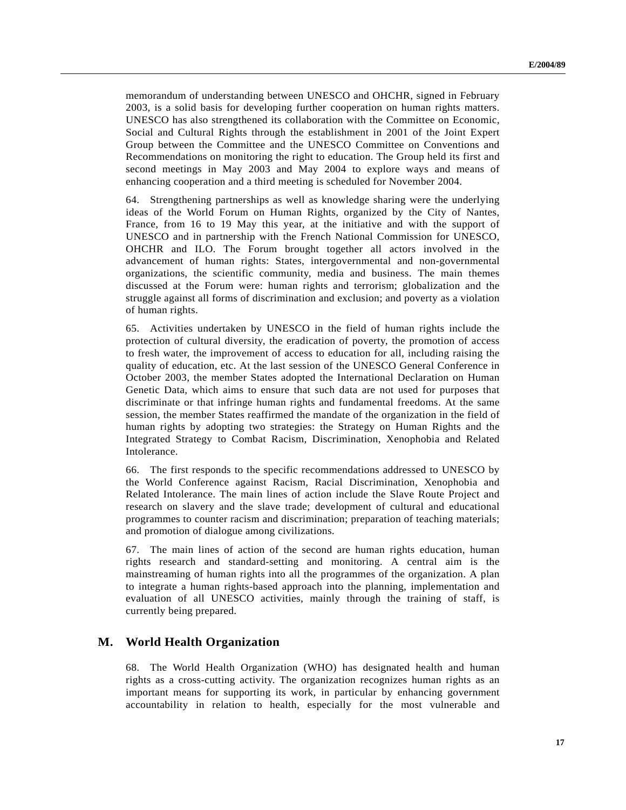memorandum of understanding between UNESCO and OHCHR, signed in February 2003, is a solid basis for developing further cooperation on human rights matters. UNESCO has also strengthened its collaboration with the Committee on Economic, Social and Cultural Rights through the establishment in 2001 of the Joint Expert Group between the Committee and the UNESCO Committee on Conventions and Recommendations on monitoring the right to education. The Group held its first and second meetings in May 2003 and May 2004 to explore ways and means of enhancing cooperation and a third meeting is scheduled for November 2004.

64. Strengthening partnerships as well as knowledge sharing were the underlying ideas of the World Forum on Human Rights, organized by the City of Nantes, France, from 16 to 19 May this year, at the initiative and with the support of UNESCO and in partnership with the French National Commission for UNESCO, OHCHR and ILO. The Forum brought together all actors involved in the advancement of human rights: States, intergovernmental and non-governmental organizations, the scientific community, media and business. The main themes discussed at the Forum were: human rights and terrorism; globalization and the struggle against all forms of discrimination and exclusion; and poverty as a violation of human rights.

65. Activities undertaken by UNESCO in the field of human rights include the protection of cultural diversity, the eradication of poverty, the promotion of access to fresh water, the improvement of access to education for all, including raising the quality of education, etc. At the last session of the UNESCO General Conference in October 2003, the member States adopted the International Declaration on Human Genetic Data, which aims to ensure that such data are not used for purposes that discriminate or that infringe human rights and fundamental freedoms. At the same session, the member States reaffirmed the mandate of the organization in the field of human rights by adopting two strategies: the Strategy on Human Rights and the Integrated Strategy to Combat Racism, Discrimination, Xenophobia and Related Intolerance.

66. The first responds to the specific recommendations addressed to UNESCO by the World Conference against Racism, Racial Discrimination, Xenophobia and Related Intolerance. The main lines of action include the Slave Route Project and research on slavery and the slave trade; development of cultural and educational programmes to counter racism and discrimination; preparation of teaching materials; and promotion of dialogue among civilizations.

67. The main lines of action of the second are human rights education, human rights research and standard-setting and monitoring. A central aim is the mainstreaming of human rights into all the programmes of the organization. A plan to integrate a human rights-based approach into the planning, implementation and evaluation of all UNESCO activities, mainly through the training of staff, is currently being prepared.

### **M. World Health Organization**

68. The World Health Organization (WHO) has designated health and human rights as a cross-cutting activity. The organization recognizes human rights as an important means for supporting its work, in particular by enhancing government accountability in relation to health, especially for the most vulnerable and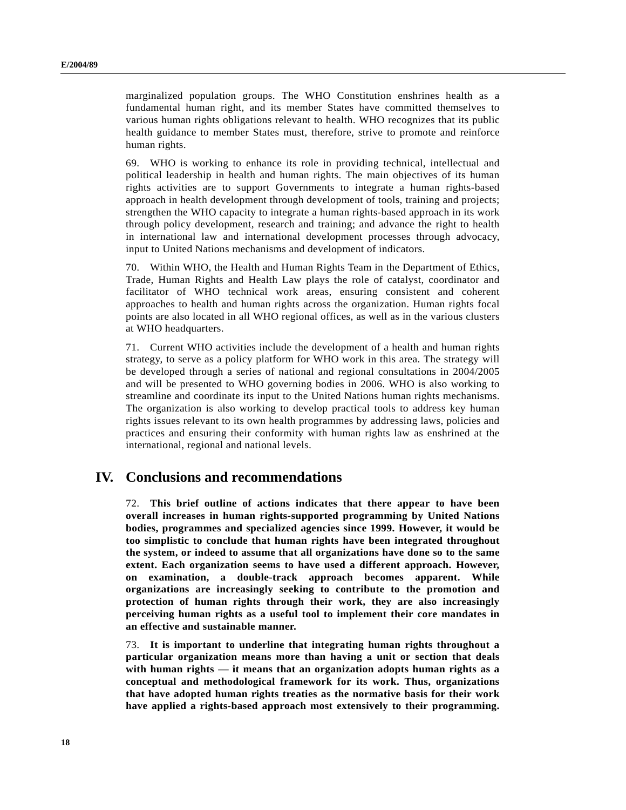marginalized population groups. The WHO Constitution enshrines health as a fundamental human right, and its member States have committed themselves to various human rights obligations relevant to health. WHO recognizes that its public health guidance to member States must, therefore, strive to promote and reinforce human rights.

69. WHO is working to enhance its role in providing technical, intellectual and political leadership in health and human rights. The main objectives of its human rights activities are to support Governments to integrate a human rights-based approach in health development through development of tools, training and projects; strengthen the WHO capacity to integrate a human rights-based approach in its work through policy development, research and training; and advance the right to health in international law and international development processes through advocacy, input to United Nations mechanisms and development of indicators.

70. Within WHO, the Health and Human Rights Team in the Department of Ethics, Trade, Human Rights and Health Law plays the role of catalyst, coordinator and facilitator of WHO technical work areas, ensuring consistent and coherent approaches to health and human rights across the organization. Human rights focal points are also located in all WHO regional offices, as well as in the various clusters at WHO headquarters.

71. Current WHO activities include the development of a health and human rights strategy, to serve as a policy platform for WHO work in this area. The strategy will be developed through a series of national and regional consultations in 2004/2005 and will be presented to WHO governing bodies in 2006. WHO is also working to streamline and coordinate its input to the United Nations human rights mechanisms. The organization is also working to develop practical tools to address key human rights issues relevant to its own health programmes by addressing laws, policies and practices and ensuring their conformity with human rights law as enshrined at the international, regional and national levels.

## **IV. Conclusions and recommendations**

72. **This brief outline of actions indicates that there appear to have been overall increases in human rights-supported programming by United Nations bodies, programmes and specialized agencies since 1999. However, it would be too simplistic to conclude that human rights have been integrated throughout the system, or indeed to assume that all organizations have done so to the same extent. Each organization seems to have used a different approach. However, on examination, a double-track approach becomes apparent. While organizations are increasingly seeking to contribute to the promotion and protection of human rights through their work, they are also increasingly perceiving human rights as a useful tool to implement their core mandates in an effective and sustainable manner.**

73. **It is important to underline that integrating human rights throughout a particular organization means more than having a unit or section that deals with human rights — it means that an organization adopts human rights as a conceptual and methodological framework for its work. Thus, organizations that have adopted human rights treaties as the normative basis for their work have applied a rights-based approach most extensively to their programming.**